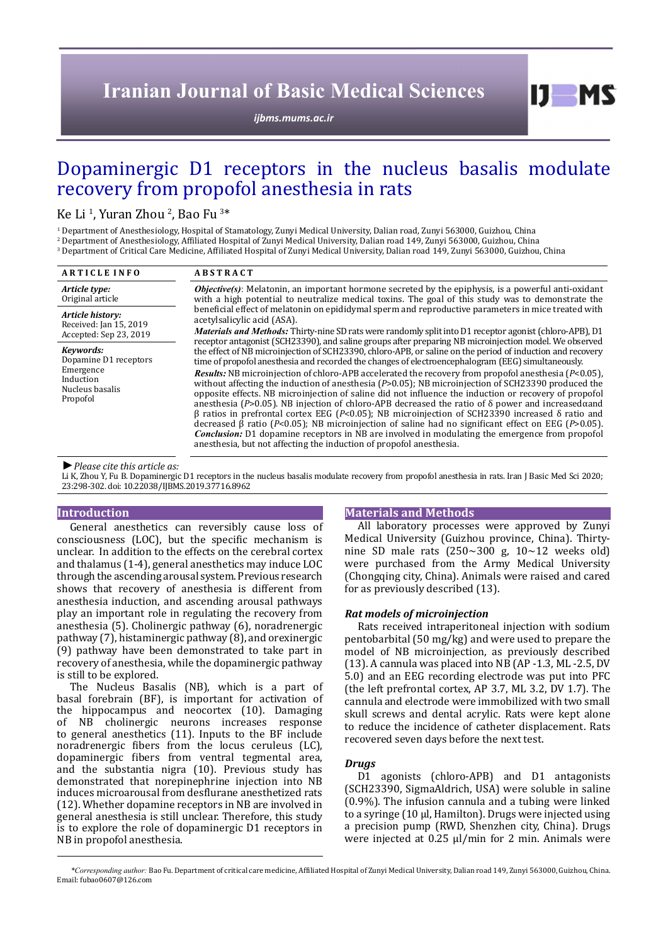# **Iranian Journal of Basic Medical Sciences**

*[ijbms.mums.ac.ir](http://ijbms.mums.ac.ir)*

# Dopaminergic D1 receptors in the nucleus basalis modulate recovery from propofol anesthesia in rats

## Ke Li<sup>1</sup>, Yuran Zhou<sup>2</sup>, Bao Fu<sup>3\*</sup>

1 Department of Anesthesiology, Hospital of Stamatology, Zunyi Medical University, Dalian road, Zunyi 563000, Guizhou, China

2 Department of Anesthesiology, Affiliated Hospital of Zunyi Medical University, Dalian road 149, Zunyi 563000, Guizhou, China

3 Department of Critical Care Medicine, Affiliated Hospital of Zunyi Medical University, Dalian road 149, Zunyi 563000, Guizhou, China

| <b>ARTICLE INFO</b>                                                                         | <b>ABSTRACT</b>                                                                                                                                                                                                                                                                                                                                                                                                                                                                                                                                                                                                                                                                                                                                                                                                                                                                                                                                                                                                                                                                                                                                                                                                                                                                                                                                                                                                                                                                                                                                                                                                                                        |
|---------------------------------------------------------------------------------------------|--------------------------------------------------------------------------------------------------------------------------------------------------------------------------------------------------------------------------------------------------------------------------------------------------------------------------------------------------------------------------------------------------------------------------------------------------------------------------------------------------------------------------------------------------------------------------------------------------------------------------------------------------------------------------------------------------------------------------------------------------------------------------------------------------------------------------------------------------------------------------------------------------------------------------------------------------------------------------------------------------------------------------------------------------------------------------------------------------------------------------------------------------------------------------------------------------------------------------------------------------------------------------------------------------------------------------------------------------------------------------------------------------------------------------------------------------------------------------------------------------------------------------------------------------------------------------------------------------------------------------------------------------------|
| Article type:<br>Original article                                                           | <b>Objective(s)</b> : Melatonin, an important hormone secreted by the epiphysis, is a powerful anti-oxidant<br>with a high potential to neutralize medical toxins. The goal of this study was to demonstrate the<br>beneficial effect of melatonin on epididymal sperm and reproductive parameters in mice treated with<br>acetylsalicylic acid (ASA).<br><i>Materials and Methods:</i> Thirty-nine SD rats were randomly split into D1 receptor agonist (chloro-APB), D1<br>receptor antagonist (SCH23390), and saline groups after preparing NB microinjection model. We observed<br>the effect of NB microinjection of SCH23390, chloro-APB, or saline on the period of induction and recovery<br>time of propofol anesthesia and recorded the changes of electroencephalogram (EEG) simultaneously.<br><b>Results:</b> NB microinjection of chloro-APB accelerated the recovery from propofol anesthesia ( $P<0.05$ ).<br>without affecting the induction of anesthesia $(P>0.05)$ ; NB microinjection of SCH23390 produced the<br>opposite effects. NB microinjection of saline did not influence the induction or recovery of propofol<br>anesthesia (P>0.05). NB injection of chloro-APB decreased the ratio of $\delta$ power and increased and<br>β ratios in prefrontal cortex EEG (P<0.05); NB microinjection of SCH23390 increased δ ratio and<br>decreased $\beta$ ratio (P<0.05); NB microinjection of saline had no significant effect on EEG (P>0.05).<br><b>Conclusion:</b> D1 dopamine receptors in NB are involved in modulating the emergence from propofol<br>anesthesia, but not affecting the induction of propofol anesthesia. |
| Article history:<br>Received: Jan 15, 2019<br>Accepted: Sep 23, 2019                        |                                                                                                                                                                                                                                                                                                                                                                                                                                                                                                                                                                                                                                                                                                                                                                                                                                                                                                                                                                                                                                                                                                                                                                                                                                                                                                                                                                                                                                                                                                                                                                                                                                                        |
| Kevwords:<br>Dopamine D1 receptors<br>Emergence<br>Induction<br>Nucleus basalis<br>Propofol |                                                                                                                                                                                                                                                                                                                                                                                                                                                                                                                                                                                                                                                                                                                                                                                                                                                                                                                                                                                                                                                                                                                                                                                                                                                                                                                                                                                                                                                                                                                                                                                                                                                        |

*►Please cite this article as:*

Li K, Zhou Y, Fu B. Dopaminergic D1 receptors in the nucleus basalis modulate recovery from propofol anesthesia in rats. Iran J Basic Med Sci 2020; 23:298-302. doi: 10.22038/IJBMS.2019.37716.8962

#### **Introduction**

General anesthetics can reversibly cause loss of consciousness (LOC), but the specific mechanism is unclear. In addition to the effects on the cerebral cortex and thalamus (1-4), general anesthetics may induce LOC through the ascending arousal system. Previous research shows that recovery of anesthesia is different from anesthesia induction, and ascending arousal pathways play an important role in regulating the recovery from anesthesia (5). Cholinergic pathway (6), noradrenergic pathway (7), histaminergic pathway (8), and orexinergic (9) pathway have been demonstrated to take part in recovery of anesthesia, while the dopaminergic pathway is still to be explored.

The Nucleus Basalis (NB), which is a part of basal forebrain (BF), is important for activation of the hippocampus and neocortex (10). Damaging of NB cholinergic neurons increases response to general anesthetics (11). Inputs to the BF include noradrenergic fibers from the locus ceruleus (LC), dopaminergic fibers from ventral tegmental area, and the substantia nigra (10). Previous study has demonstrated that norepinephrine injection into NB induces microarousal from desflurane anesthetized rats (12). Whether dopamine receptors in NB are involved in general anesthesia is still unclear. Therefore, this study is to explore the role of dopaminergic D1 receptors in NB in propofol anesthesia.

#### **Materials and Methods**

All laboratory processes were approved by Zunyi Medical University (Guizhou province, China). Thirtynine SD male rats  $(250~300)$  g,  $10~12$  weeks old) were purchased from the Army Medical University (Chongqing city, China). Animals were raised and cared for as previously described (13).

 $D$  MS

#### *Rat models of microinjection*

Rats received intraperitoneal injection with sodium pentobarbital (50 mg/kg) and were used to prepare the model of NB microinjection, as previously described (13). A cannula was placed into NB (AP -1.3, ML -2.5, DV 5.0) and an EEG recording electrode was put into PFC (the left prefrontal cortex, AP 3.7, ML 3.2, DV 1.7). The cannula and electrode were immobilized with two small skull screws and dental acrylic. Rats were kept alone to reduce the incidence of catheter displacement. Rats recovered seven days before the next test.

#### *Drugs*

D1 agonists (chloro-APB) and D1 antagonists (SCH23390, SigmaAldrich, USA) were soluble in saline (0.9%). The infusion cannula and a tubing were linked to a syringe (10 µl, Hamilton). Drugs were injected using a precision pump (RWD, Shenzhen city, China). Drugs were injected at 0.25 µl/min for 2 min. Animals were

*\*Corresponding author:* Bao Fu. Department of critical care medicine, Affiliated Hospital of Zunyi Medical University, Dalian road 149, Zunyi 563000, Guizhou, China. Email: fubao0607@126.com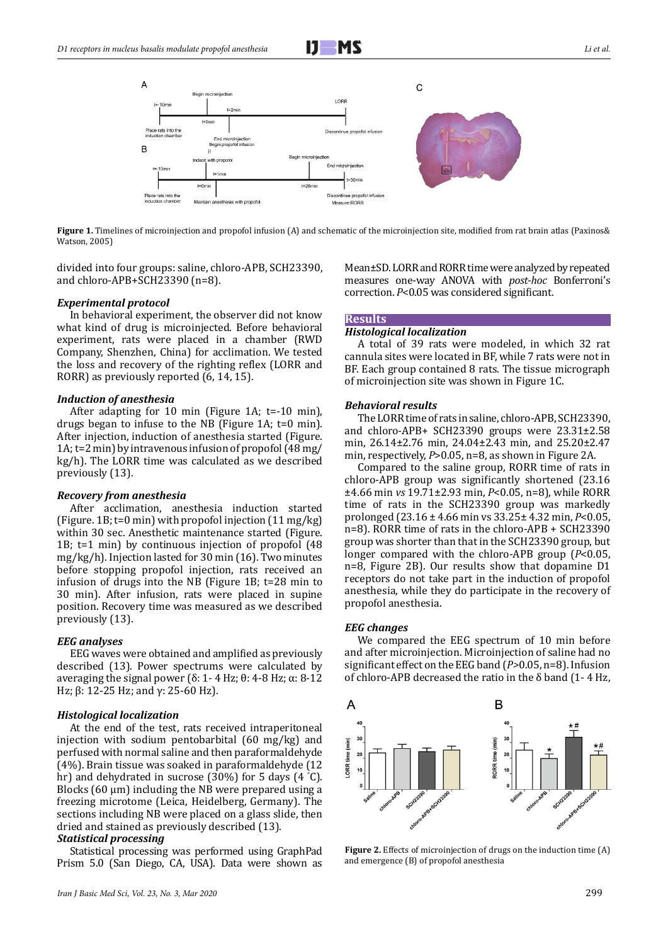

Figure 1. Timelines of microinjection and propofol infusion (A) and schematic of the microinjection site, modified from rat brain atlas (Paxinos& Watson, 2005)

divided into four groups: saline, chloro-APB, SCH23390, and chloro-APB+SCH23390 (n=8).

#### *Experimental protocol*

In behavioral experiment, the observer did not know what kind of drug is microinjected. Before behavioral experiment, rats were placed in a chamber (RWD Company, Shenzhen, China) for acclimation. We tested the loss and recovery of the righting reflex (LORR and RORR) as previously reported (6, 14, 15).

#### *Induction of anesthesia*

After adapting for 10 min (Figure 1A; t=-10 min), drugs began to infuse to the NB (Figure 1A; t=0 min). After injection, induction of anesthesia started (Figure. 1A; t=2 min) by intravenous infusion of propofol (48 mg/ kg/h). The LORR time was calculated as we described previously (13).

#### *Recovery from anesthesia*

After acclimation, anesthesia induction started (Figure. 1B; t=0 min) with propofol injection (11 mg/kg) within 30 sec. Anesthetic maintenance started (Figure. 1B; t=1 min) by continuous injection of propofol (48 mg/kg/h). Injection lasted for 30 min (16). Two minutes before stopping propofol injection, rats received an infusion of drugs into the NB (Figure 1B; t=28 min to 30 min). After infusion, rats were placed in supine position. Recovery time was measured as we described previously (13).

#### *EEG analyses*

EEG waves were obtained and amplified as previously described (13). Power spectrums were calculated by averaging the signal power (δ: 1 - 4 Hz; θ: 4 - 8 Hz; α: 8 - 12 Hz; β: 12-25 Hz; and γ: 25-60 Hz).

#### *Histological localization*

At the end of the test, rats received intraperitoneal injection with sodium pentobarbital (60 mg/kg) and perfused with normal saline and then paraformaldehyde (4%). Brain tissue was soaked in paraformaldehyde (12 hr) and dehydrated in sucrose (30%) for 5 days (4 ° C). Blocks  $(60 \mu m)$  including the NB were prepared using a freezing microtome (Leica, Heidelberg, Germany). The sections including NB were placed on a glass slide, then dried and stained as previously described (13).

#### *Statistical processing*

Statistical processing was performed using GraphPad Prism 5.0 (San Diego, CA, USA). Data were shown as Mean±SD. LORR and RORR time were analyzed by repeated measures one-way ANOVA with *post-hoc* Bonferroni's correction. *P*<0.05 was considered significant.

### **Results**

### *Histological localization*

A total of 39 rats were modeled, in which 32 rat cannula sites were located in BF, while 7 rats were not in BF. Each group contained 8 rats. The tissue micrograph of microinjection site was shown in Figure 1C.

#### *Behavioral results*

The LORR time of rats in saline, chloro-APB, SCH23390, and chloro-APB+ SCH23390 groups were 23.31±2.58 min, 26.14±2.76 min, 24.04±2.43 min, and 25.20±2.47 min, respectively, *P*>0.05, n=8, as shown in Figure 2A.

Compared to the saline group, RORR time of rats in chloro-APB group was significantly shortened (23.16 ±4.66 min *vs* 19.71±2.93 min, *P*<0.05, n=8), while RORR time of rats in the SCH23390 group was markedly prolonged (23.16 ± 4.66 min vs 33.25± 4.32 min, *P*<0.05, n=8). RORR time of rats in the chloro-APB + SCH23390 group was shorter than that in the SCH23390 group, but longer compared with the chloro-APB group (*P*<0.05, n=8, Figure 2B). Our results show that dopamine D1 receptors do not take part in the induction of propofol anesthesia, while they do participate in the recovery of propofol anesthesia.

#### *EEG changes*

We compared the EEG spectrum of 10 min before and after microinjection. Microinjection of saline had no significant effect on the EEG band (*P>*0.05, n=8). Infusion of chloro-APB decreased the ratio in the  $\delta$  band (1-4 Hz,



**Figure 2.** Effects of microinjection of drugs on the induction time (A) and emergence (B) of propofol anesthesia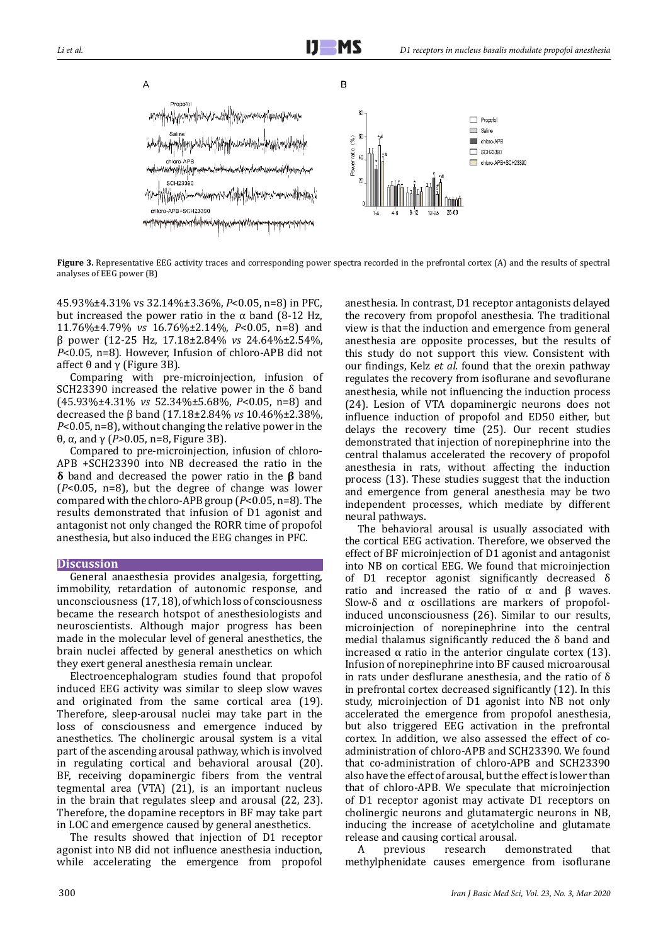

Figure 3. Representative EEG activity traces and corresponding power spectra recorded in the prefrontal cortex (A) and the results of spectral analyses of EEG power (B)

45.93%±4.31% vs 32.14%±3.36%, *P*<0.05, n=8) in PFC, but increased the power ratio in the α band (8-12 Hz, 11.76%±4.79% *vs* 16.76%±2.14%, *P*<0.05, n=8) and β power (12-25 Hz, 17.18±2.84% *vs* 24.64%±2.54%, *P*<0.05, n=8). However, Infusion of chloro-APB did not affect θ and γ (Figure 3B).

Comparing with pre-microinjection, infusion of SCH23390 increased the relative power in the δ band (45.93%±4.31% *vs* 52.34%±5.68%, *P*<0.05, n=8) and decreased the β band (17.18±2.84% *vs* 10.46%±2.38%, *P*<0.05, n=8), without changing the relative power in the θ, α, and γ (*P>*0.05, n=8, Figure 3B).

Compared to pre-microinjection, infusion of chloro-APB +SCH23390 into NB decreased the ratio in the **δ** band and decreased the power ratio in the **β** band (*P*<0.05, n=8), but the degree of change was lower compared with the chloro-APB group (*P*<0.05, n=8). The results demonstrated that infusion of D1 agonist and antagonist not only changed the RORR time of propofol anesthesia, but also induced the EEG changes in PFC.

#### **Discussion**

General anaesthesia provides analgesia, forgetting, immobility, retardation of autonomic response, and unconsciousness (17, 18), of which loss of consciousness became the research hotspot of anesthesiologists and neuroscientists. Although major progress has been made in the molecular level of general anesthetics, the brain nuclei affected by general anesthetics on which they exert general anesthesia remain unclear.

Electroencephalogram studies found that propofol induced EEG activity was similar to sleep slow waves and originated from the same cortical area (19). Therefore, sleep-arousal nuclei may take part in the loss of consciousness and emergence induced by anesthetics. The cholinergic arousal system is a vital part of the ascending arousal pathway, which is involved in regulating cortical and behavioral arousal (20). BF, receiving dopaminergic fibers from the ventral tegmental area (VTA) (21), is an important nucleus in the brain that regulates sleep and arousal (22, 23). Therefore, the dopamine receptors in BF may take part in LOC and emergence caused by general anesthetics.

The results showed that injection of D1 receptor agonist into NB did not influence anesthesia induction, while accelerating the emergence from propofol anesthesia. In contrast, D1 receptor antagonists delayed the recovery from propofol anesthesia. The traditional view is that the induction and emergence from general anesthesia are opposite processes, but the results of this study do not support this view. Consistent with our findings, Kelz *et al.* found that the orexin pathway regulates the recovery from isoflurane and sevoflurane anesthesia, while not influencing the induction process (24). Lesion of VTA dopaminergic neurons does not influence induction of propofol and ED50 either, but delays the recovery time (25). Our recent studies demonstrated that injection of norepinephrine into the central thalamus accelerated the recovery of propofol anesthesia in rats, without affecting the induction process (13). These studies suggest that the induction and emergence from general anesthesia may be two independent processes, which mediate by different neural pathways.

The behavioral arousal is usually associated with the cortical EEG activation. Therefore, we observed the effect of BF microinjection of D1 agonist and antagonist into NB on cortical EEG. We found that microinjection of D1 receptor agonist significantly decreased δ ratio and increased the ratio of  $\alpha$  and  $\beta$  waves. Slow-δ and α oscillations are markers of propofolinduced unconsciousness (26). Similar to our results, microinjection of norepinephrine into the central medial thalamus significantly reduced the  $\delta$  band and increased α ratio in the anterior cingulate cortex (13). Infusion of norepinephrine into BF caused microarousal in rats under desflurane anesthesia, and the ratio of δ in prefrontal cortex decreased significantly (12). In this study, microinjection of D1 agonist into NB not only accelerated the emergence from propofol anesthesia, but also triggered EEG activation in the prefrontal cortex. In addition, we also assessed the effect of coadministration of chloro-APB and SCH23390. We found that co-administration of chloro-APB and SCH23390 also have the effect of arousal, but the effect is lower than that of chloro-APB. We speculate that microinjection of D1 receptor agonist may activate D1 receptors on cholinergic neurons and glutamatergic neurons in NB, inducing the increase of acetylcholine and glutamate release and causing cortical arousal.<br>A previous research de

demonstrated that methylphenidate causes emergence from isoflurane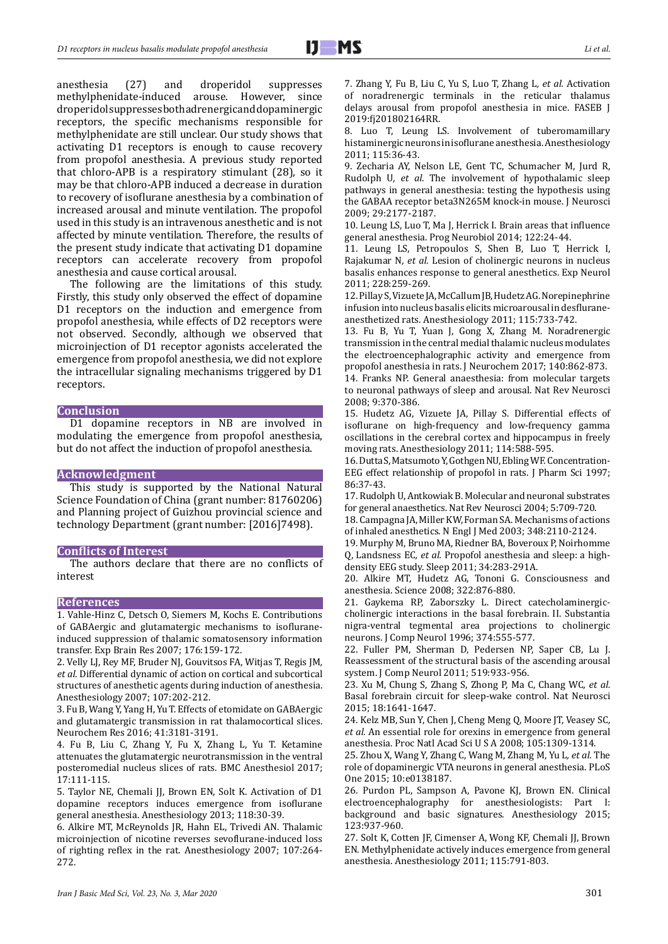anesthesia (27) and droperidol suppresses<br>methylphenidate-induced arouse. However, since arouse. However, since droperidol suppresses both adrenergic and dopaminergic receptors, the specific mechanisms responsible for methylphenidate are still unclear. Our study shows that activating D1 receptors is enough to cause recovery from propofol anesthesia. A previous study reported that chloro-APB is a respiratory stimulant (28), so it may be that chloro-APB induced a decrease in duration to recovery of isoflurane anesthesia by a combination of increased arousal and minute ventilation. The propofol used in this study is an intravenous anesthetic and is not affected by minute ventilation. Therefore, the results of the present study indicate that activating D1 dopamine receptors can accelerate recovery from propofol anesthesia and cause cortical arousal.

The following are the limitations of this study. Firstly, this study only observed the effect of dopamine D1 receptors on the induction and emergence from propofol anesthesia, while effects of D2 receptors were not observed. Secondly, although we observed that microinjection of D1 receptor agonists accelerated the emergence from propofol anesthesia, we did not explore the intracellular signaling mechanisms triggered by D1 receptors.

#### **Conclusion**

D1 dopamine receptors in NB are involved in modulating the emergence from propofol anesthesia, but do not affect the induction of propofol anesthesia.

#### **Acknowledgment**

This study is supported by the National Natural Science Foundation of China (grant number: 81760206) and Planning project of Guizhou provincial science and technology Department (grant number: [2016]7498).

#### **Conflicts of Interest**

The authors declare that there are no conflicts of interest

#### **References**

1. Vahle-Hinz C, Detsch O, Siemers M, Kochs E. Contributions of GABAergic and glutamatergic mechanisms to isofluraneinduced suppression of thalamic somatosensory information transfer. Exp Brain Res 2007; 176:159-172.

2. Velly LJ, Rey MF, Bruder NJ, Gouvitsos FA, Witjas T, Regis JM*, et al.* Differential dynamic of action on cortical and subcortical structures of anesthetic agents during induction of anesthesia. Anesthesiology 2007; 107:202-212.

3. Fu B, Wang Y, Yang H, Yu T. Effects of etomidate on GABAergic and glutamatergic transmission in rat thalamocortical slices. Neurochem Res 2016; 41:3181-3191.

4. Fu B, Liu C, Zhang Y, Fu X, Zhang L, Yu T. Ketamine attenuates the glutamatergic neurotransmission in the ventral posteromedial nucleus slices of rats. BMC Anesthesiol 2017; 17:111-115.

5. Taylor NE, Chemali JJ, Brown EN, Solt K. Activation of D1 dopamine receptors induces emergence from isoflurane general anesthesia. Anesthesiology 2013; 118:30-39.

6. Alkire MT, McReynolds JR, Hahn EL, Trivedi AN. Thalamic microinjection of nicotine reverses sevoflurane-induced loss of righting reflex in the rat. Anesthesiology 2007; 107:264- 272.

7. Zhang Y, Fu B, Liu C, Yu S, Luo T, Zhang L*, et al.* Activation of noradrenergic terminals in the reticular thalamus delays arousal from propofol anesthesia in mice. FASEB J 2019:fj201802164RR.

8. Luo T, Leung LS. Involvement of tuberomamillary histaminergic neurons in isoflurane anesthesia. Anesthesiology 2011; 115:36-43.

9. Zecharia AY, Nelson LE, Gent TC, Schumacher M, Jurd R, Rudolph U*, et al.* The involvement of hypothalamic sleep pathways in general anesthesia: testing the hypothesis using the GABAA receptor beta3N265M knock-in mouse. J Neurosci 2009; 29:2177-2187.

10. Leung LS, Luo T, Ma J, Herrick I. Brain areas that influence general anesthesia. Prog Neurobiol 2014; 122:24-44.

11. Leung LS, Petropoulos S, Shen B, Luo T, Herrick I, Rajakumar N*, et al.* Lesion of cholinergic neurons in nucleus basalis enhances response to general anesthetics. Exp Neurol 2011; 228:259-269.

12. Pillay S, Vizuete JA, McCallum JB, Hudetz AG. Norepinephrine infusion into nucleus basalis elicits microarousal in desfluraneanesthetized rats. Anesthesiology 2011; 115:733-742.

13. Fu B, Yu T, Yuan J, Gong X, Zhang M. Noradrenergic transmission in the central medial thalamic nucleus modulates the electroencephalographic activity and emergence from propofol anesthesia in rats. J Neurochem 2017; 140:862-873.

14. Franks NP. General anaesthesia: from molecular targets to neuronal pathways of sleep and arousal. Nat Rev Neurosci 2008; 9:370-386.

15. Hudetz AG, Vizuete JA, Pillay S. Differential effects of isoflurane on high-frequency and low-frequency gamma oscillations in the cerebral cortex and hippocampus in freely moving rats. Anesthesiology 2011; 114:588-595.

16. Dutta S, Matsumoto Y, Gothgen NU, Ebling WF. Concentration-EEG effect relationship of propofol in rats. J Pharm Sci 1997; 86:37-43.

17. Rudolph U, Antkowiak B. Molecular and neuronal substrates for general anaesthetics. Nat Rev Neurosci 2004; 5:709-720.

18. Campagna JA, Miller KW, Forman SA. Mechanisms of actions of inhaled anesthetics. N Engl J Med 2003; 348:2110-2124.

19. Murphy M, Bruno MA, Riedner BA, Boveroux P, Noirhomme Q, Landsness EC*, et al.* Propofol anesthesia and sleep: a highdensity EEG study. Sleep 2011; 34:283-291A.

20. Alkire MT, Hudetz AG, Tononi G. Consciousness and anesthesia. Science 2008; 322:876-880.

21. Gaykema RP, Zaborszky L. Direct catecholaminergiccholinergic interactions in the basal forebrain. II. Substantia nigra-ventral tegmental area projections to cholinergic neurons. J Comp Neurol 1996; 374:555-577.

22. Fuller PM, Sherman D, Pedersen NP, Saper CB, Lu J. Reassessment of the structural basis of the ascending arousal system. J Comp Neurol 2011; 519:933-956.

23. Xu M, Chung S, Zhang S, Zhong P, Ma C, Chang WC*, et al.* Basal forebrain circuit for sleep-wake control. Nat Neurosci 2015; 18:1641-1647.

24. Kelz MB, Sun Y, Chen J, Cheng Meng Q, Moore JT, Veasey SC*, et al.* An essential role for orexins in emergence from general anesthesia. Proc Natl Acad Sci U S A 2008; 105:1309-1314.

25. Zhou X, Wang Y, Zhang C, Wang M, Zhang M, Yu L*, et al.* The role of dopaminergic VTA neurons in general anesthesia. PLoS One 2015; 10:e0138187.

26. Purdon PL, Sampson A, Pavone KJ, Brown EN. Clinical electroencephalography for anesthesiologists: Part I: background and basic signatures. Anesthesiology 2015; 123:937-960.

27. Solt K, Cotten JF, Cimenser A, Wong KF, Chemali JJ, Brown EN. Methylphenidate actively induces emergence from general anesthesia. Anesthesiology 2011; 115:791-803.